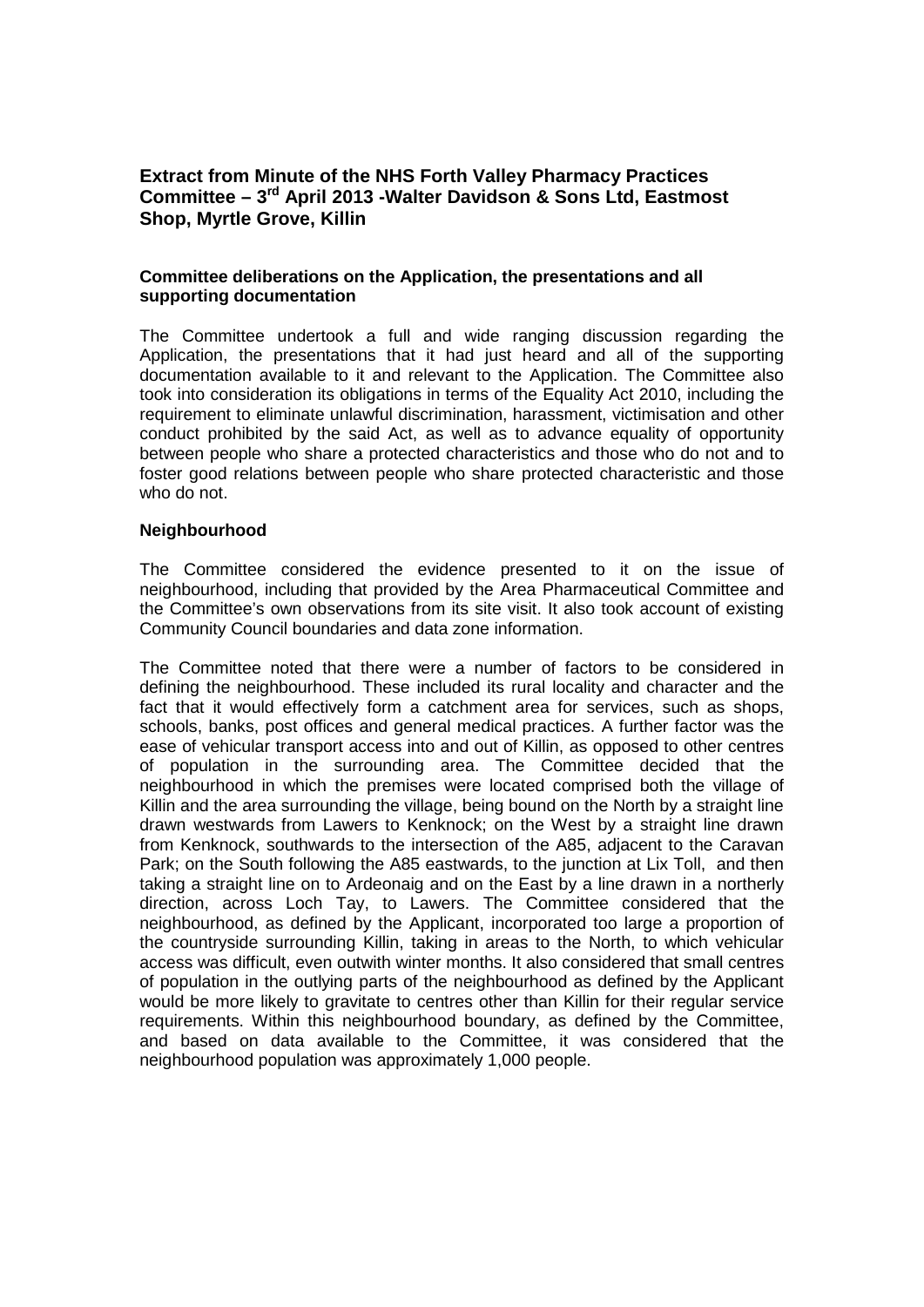# **Extract from Minute of the NHS Forth Valley Pharmacy Practices Committee – 3rd April 2013 -Walter Davidson & Sons Ltd, Eastmost Shop, Myrtle Grove, Killin**

## **Committee deliberations on the Application, the presentations and all supporting documentation**

The Committee undertook a full and wide ranging discussion regarding the Application, the presentations that it had just heard and all of the supporting documentation available to it and relevant to the Application. The Committee also took into consideration its obligations in terms of the Equality Act 2010, including the requirement to eliminate unlawful discrimination, harassment, victimisation and other conduct prohibited by the said Act, as well as to advance equality of opportunity between people who share a protected characteristics and those who do not and to foster good relations between people who share protected characteristic and those who do not.

#### **Neighbourhood**

The Committee considered the evidence presented to it on the issue of neighbourhood, including that provided by the Area Pharmaceutical Committee and the Committee's own observations from its site visit. It also took account of existing Community Council boundaries and data zone information.

The Committee noted that there were a number of factors to be considered in defining the neighbourhood. These included its rural locality and character and the fact that it would effectively form a catchment area for services, such as shops, schools, banks, post offices and general medical practices. A further factor was the ease of vehicular transport access into and out of Killin, as opposed to other centres of population in the surrounding area. The Committee decided that the neighbourhood in which the premises were located comprised both the village of Killin and the area surrounding the village, being bound on the North by a straight line drawn westwards from Lawers to Kenknock; on the West by a straight line drawn from Kenknock, southwards to the intersection of the A85, adjacent to the Caravan Park; on the South following the A85 eastwards, to the junction at Lix Toll, and then taking a straight line on to Ardeonaig and on the East by a line drawn in a northerly direction, across Loch Tay, to Lawers. The Committee considered that the neighbourhood, as defined by the Applicant, incorporated too large a proportion of the countryside surrounding Killin, taking in areas to the North, to which vehicular access was difficult, even outwith winter months. It also considered that small centres of population in the outlying parts of the neighbourhood as defined by the Applicant would be more likely to gravitate to centres other than Killin for their regular service requirements. Within this neighbourhood boundary, as defined by the Committee, and based on data available to the Committee, it was considered that the neighbourhood population was approximately 1,000 people.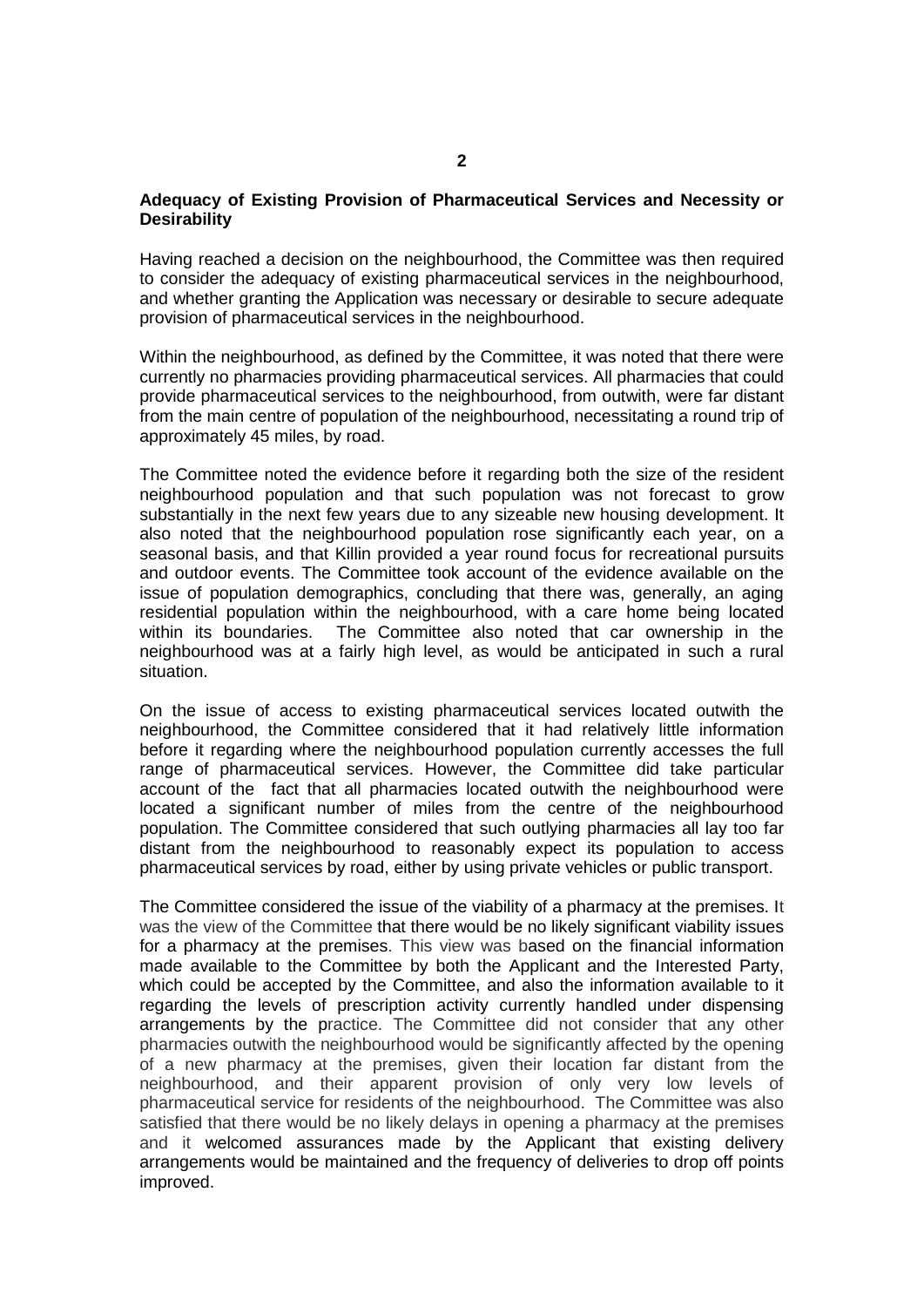## **Adequacy of Existing Provision of Pharmaceutical Services and Necessity or Desirability**

Having reached a decision on the neighbourhood, the Committee was then required to consider the adequacy of existing pharmaceutical services in the neighbourhood, and whether granting the Application was necessary or desirable to secure adequate provision of pharmaceutical services in the neighbourhood.

Within the neighbourhood, as defined by the Committee, it was noted that there were currently no pharmacies providing pharmaceutical services. All pharmacies that could provide pharmaceutical services to the neighbourhood, from outwith, were far distant from the main centre of population of the neighbourhood, necessitating a round trip of approximately 45 miles, by road.

The Committee noted the evidence before it regarding both the size of the resident neighbourhood population and that such population was not forecast to grow substantially in the next few years due to any sizeable new housing development. It also noted that the neighbourhood population rose significantly each year, on a seasonal basis, and that Killin provided a year round focus for recreational pursuits and outdoor events. The Committee took account of the evidence available on the issue of population demographics, concluding that there was, generally, an aging residential population within the neighbourhood, with a care home being located within its boundaries. The Committee also noted that car ownership in the neighbourhood was at a fairly high level, as would be anticipated in such a rural situation.

On the issue of access to existing pharmaceutical services located outwith the neighbourhood, the Committee considered that it had relatively little information before it regarding where the neighbourhood population currently accesses the full range of pharmaceutical services. However, the Committee did take particular account of the fact that all pharmacies located outwith the neighbourhood were located a significant number of miles from the centre of the neighbourhood population. The Committee considered that such outlying pharmacies all lay too far distant from the neighbourhood to reasonably expect its population to access pharmaceutical services by road, either by using private vehicles or public transport.

The Committee considered the issue of the viability of a pharmacy at the premises. It was the view of the Committee that there would be no likely significant viability issues for a pharmacy at the premises. This view was based on the financial information made available to the Committee by both the Applicant and the Interested Party, which could be accepted by the Committee, and also the information available to it regarding the levels of prescription activity currently handled under dispensing arrangements by the practice. The Committee did not consider that any other pharmacies outwith the neighbourhood would be significantly affected by the opening of a new pharmacy at the premises, given their location far distant from the neighbourhood, and their apparent provision of only very low levels of pharmaceutical service for residents of the neighbourhood. The Committee was also satisfied that there would be no likely delays in opening a pharmacy at the premises and it welcomed assurances made by the Applicant that existing delivery arrangements would be maintained and the frequency of deliveries to drop off points improved.